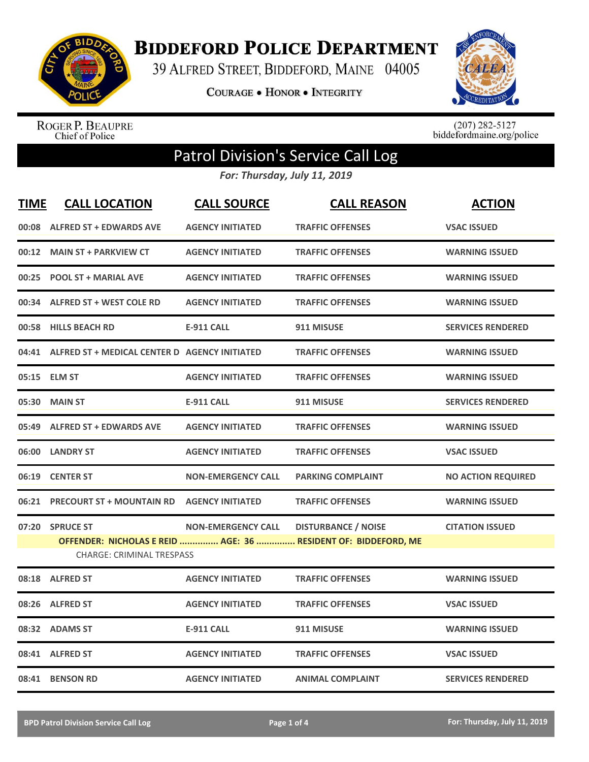

**BIDDEFORD POLICE DEPARTMENT** 

39 ALFRED STREET, BIDDEFORD, MAINE 04005

**COURAGE . HONOR . INTEGRITY** 



ROGER P. BEAUPRE<br>Chief of Police

 $(207)$  282-5127<br>biddefordmaine.org/police

## Patrol Division's Service Call Log

*For: Thursday, July 11, 2019*

| <b>TIME</b> | <b>CALL LOCATION</b>                                 | <b>CALL SOURCE</b>        | <b>CALL REASON</b>                                                                           | <b>ACTION</b>             |
|-------------|------------------------------------------------------|---------------------------|----------------------------------------------------------------------------------------------|---------------------------|
| 00:08       | <b>ALFRED ST + EDWARDS AVE</b>                       | <b>AGENCY INITIATED</b>   | <b>TRAFFIC OFFENSES</b>                                                                      | <b>VSAC ISSUED</b>        |
| 00:12       | <b>MAIN ST + PARKVIEW CT</b>                         | <b>AGENCY INITIATED</b>   | <b>TRAFFIC OFFENSES</b>                                                                      | <b>WARNING ISSUED</b>     |
| 00:25       | <b>POOL ST + MARIAL AVE</b>                          | <b>AGENCY INITIATED</b>   | <b>TRAFFIC OFFENSES</b>                                                                      | <b>WARNING ISSUED</b>     |
| 00:34       | <b>ALFRED ST + WEST COLE RD</b>                      | <b>AGENCY INITIATED</b>   | <b>TRAFFIC OFFENSES</b>                                                                      | <b>WARNING ISSUED</b>     |
| 00:58       | <b>HILLS BEACH RD</b>                                | <b>E-911 CALL</b>         | 911 MISUSE                                                                                   | <b>SERVICES RENDERED</b>  |
|             | 04:41 ALFRED ST + MEDICAL CENTER D AGENCY INITIATED  |                           | <b>TRAFFIC OFFENSES</b>                                                                      | <b>WARNING ISSUED</b>     |
| 05:15       | <b>ELM ST</b>                                        | <b>AGENCY INITIATED</b>   | <b>TRAFFIC OFFENSES</b>                                                                      | <b>WARNING ISSUED</b>     |
| 05:30       | <b>MAIN ST</b>                                       | <b>E-911 CALL</b>         | 911 MISUSE                                                                                   | <b>SERVICES RENDERED</b>  |
| 05:49       | <b>ALFRED ST + EDWARDS AVE</b>                       | <b>AGENCY INITIATED</b>   | <b>TRAFFIC OFFENSES</b>                                                                      | <b>WARNING ISSUED</b>     |
|             | 06:00 LANDRY ST                                      | <b>AGENCY INITIATED</b>   | <b>TRAFFIC OFFENSES</b>                                                                      | <b>VSAC ISSUED</b>        |
| 06:19       | <b>CENTER ST</b>                                     | <b>NON-EMERGENCY CALL</b> | <b>PARKING COMPLAINT</b>                                                                     | <b>NO ACTION REQUIRED</b> |
| 06:21       | <b>PRECOURT ST + MOUNTAIN RD AGENCY INITIATED</b>    |                           | <b>TRAFFIC OFFENSES</b>                                                                      | <b>WARNING ISSUED</b>     |
| 07:20       | <b>SPRUCE ST</b><br><b>CHARGE: CRIMINAL TRESPASS</b> | <b>NON-EMERGENCY CALL</b> | <b>DISTURBANCE / NOISE</b><br>OFFENDER: NICHOLAS E REID  AGE: 36  RESIDENT OF: BIDDEFORD, ME | <b>CITATION ISSUED</b>    |
|             | 08:18 ALFRED ST                                      | <b>AGENCY INITIATED</b>   | <b>TRAFFIC OFFENSES</b>                                                                      | <b>WARNING ISSUED</b>     |
| 08:26       | <b>ALFRED ST</b>                                     | <b>AGENCY INITIATED</b>   | <b>TRAFFIC OFFENSES</b>                                                                      | <b>VSAC ISSUED</b>        |
|             | 08:32 ADAMS ST                                       | <b>E-911 CALL</b>         | 911 MISUSE                                                                                   | <b>WARNING ISSUED</b>     |
|             | 08:41 ALFRED ST                                      | <b>AGENCY INITIATED</b>   | <b>TRAFFIC OFFENSES</b>                                                                      | <b>VSAC ISSUED</b>        |
|             | 08:41 BENSON RD                                      | <b>AGENCY INITIATED</b>   | <b>ANIMAL COMPLAINT</b>                                                                      | <b>SERVICES RENDERED</b>  |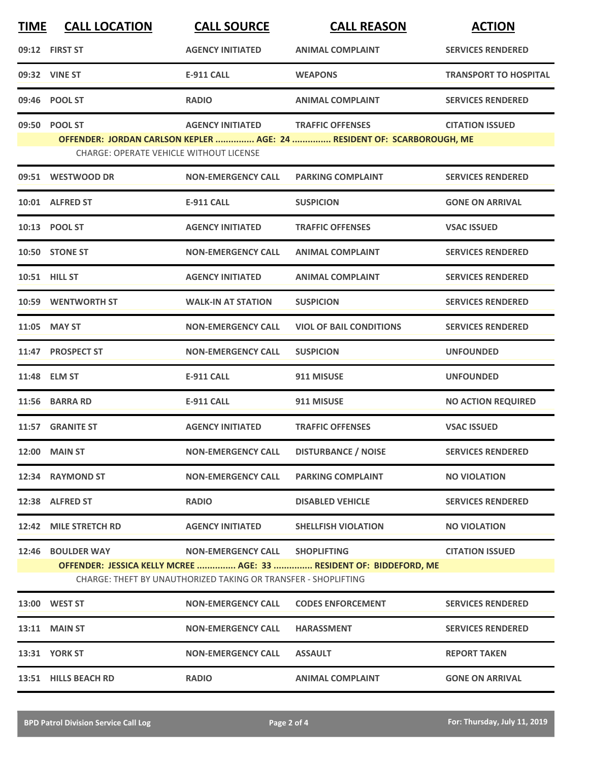| <b>TIME</b> | <b>CALL LOCATION</b>                           | <b>CALL SOURCE</b>                                             | <b>CALL REASON</b>                                                     | <b>ACTION</b>                |
|-------------|------------------------------------------------|----------------------------------------------------------------|------------------------------------------------------------------------|------------------------------|
|             | 09:12 FIRST ST                                 | <b>AGENCY INITIATED</b>                                        | <b>ANIMAL COMPLAINT</b>                                                | <b>SERVICES RENDERED</b>     |
|             | 09:32 VINE ST                                  | <b>E-911 CALL</b>                                              | <b>WEAPONS</b>                                                         | <b>TRANSPORT TO HOSPITAL</b> |
|             | 09:46 POOL ST                                  | <b>RADIO</b>                                                   | <b>ANIMAL COMPLAINT</b>                                                | <b>SERVICES RENDERED</b>     |
|             | 09:50 POOL ST                                  | <b>AGENCY INITIATED</b>                                        | <b>TRAFFIC OFFENSES</b>                                                | <b>CITATION ISSUED</b>       |
|             | <b>CHARGE: OPERATE VEHICLE WITHOUT LICENSE</b> |                                                                | OFFENDER: JORDAN CARLSON KEPLER  AGE: 24  RESIDENT OF: SCARBOROUGH, ME |                              |
|             | 09:51 WESTWOOD DR                              | <b>NON-EMERGENCY CALL</b>                                      | <b>PARKING COMPLAINT</b>                                               | <b>SERVICES RENDERED</b>     |
|             | 10:01 ALFRED ST                                | <b>E-911 CALL</b>                                              | <b>SUSPICION</b>                                                       | <b>GONE ON ARRIVAL</b>       |
|             | 10:13 POOL ST                                  | <b>AGENCY INITIATED</b>                                        | <b>TRAFFIC OFFENSES</b>                                                | <b>VSAC ISSUED</b>           |
|             | 10:50 STONE ST                                 | <b>NON-EMERGENCY CALL</b>                                      | <b>ANIMAL COMPLAINT</b>                                                | <b>SERVICES RENDERED</b>     |
|             | 10:51 HILL ST                                  | <b>AGENCY INITIATED</b>                                        | <b>ANIMAL COMPLAINT</b>                                                | <b>SERVICES RENDERED</b>     |
|             | 10:59 WENTWORTH ST                             | <b>WALK-IN AT STATION</b>                                      | <b>SUSPICION</b>                                                       | <b>SERVICES RENDERED</b>     |
|             | 11:05 MAY ST                                   | <b>NON-EMERGENCY CALL</b>                                      | <b>VIOL OF BAIL CONDITIONS</b>                                         | <b>SERVICES RENDERED</b>     |
|             | 11:47 PROSPECT ST                              | <b>NON-EMERGENCY CALL</b>                                      | <b>SUSPICION</b>                                                       | <b>UNFOUNDED</b>             |
|             | 11:48 ELM ST                                   | <b>E-911 CALL</b>                                              | 911 MISUSE                                                             | <b>UNFOUNDED</b>             |
|             | 11:56 BARRA RD                                 | <b>E-911 CALL</b>                                              | 911 MISUSE                                                             | <b>NO ACTION REQUIRED</b>    |
|             | 11:57 GRANITE ST                               | <b>AGENCY INITIATED</b>                                        | <b>TRAFFIC OFFENSES</b>                                                | <b>VSAC ISSUED</b>           |
|             | 12:00 MAIN ST                                  | <b>NON-EMERGENCY CALL</b>                                      | <b>DISTURBANCE / NOISE</b>                                             | <b>SERVICES RENDERED</b>     |
|             | 12:34 RAYMOND ST                               | <b>NON-EMERGENCY CALL</b>                                      | <b>PARKING COMPLAINT</b>                                               | <b>NO VIOLATION</b>          |
|             | 12:38 ALFRED ST                                | <b>RADIO</b>                                                   | <b>DISABLED VEHICLE</b>                                                | <b>SERVICES RENDERED</b>     |
|             | 12:42 MILE STRETCH RD                          | <b>AGENCY INITIATED</b>                                        | <b>SHELLFISH VIOLATION</b>                                             | <b>NO VIOLATION</b>          |
|             | 12:46 BOULDER WAY                              | NON-EMERGENCY CALL SHOPLIFTING                                 |                                                                        | <b>CITATION ISSUED</b>       |
|             |                                                | CHARGE: THEFT BY UNAUTHORIZED TAKING OR TRANSFER - SHOPLIFTING | OFFENDER: JESSICA KELLY MCREE  AGE: 33  RESIDENT OF: BIDDEFORD, ME     |                              |
|             | 13:00 WEST ST                                  | <b>NON-EMERGENCY CALL</b>                                      | <b>CODES ENFORCEMENT</b>                                               | <b>SERVICES RENDERED</b>     |
|             | <b>13:11 MAIN ST</b>                           | <b>NON-EMERGENCY CALL</b>                                      | <b>HARASSMENT</b>                                                      | <b>SERVICES RENDERED</b>     |
|             | <b>13:31 YORK ST</b>                           | <b>NON-EMERGENCY CALL</b>                                      | <b>ASSAULT</b>                                                         | <b>REPORT TAKEN</b>          |
|             | 13:51 HILLS BEACH RD                           | <b>RADIO</b>                                                   | <b>ANIMAL COMPLAINT</b>                                                | <b>GONE ON ARRIVAL</b>       |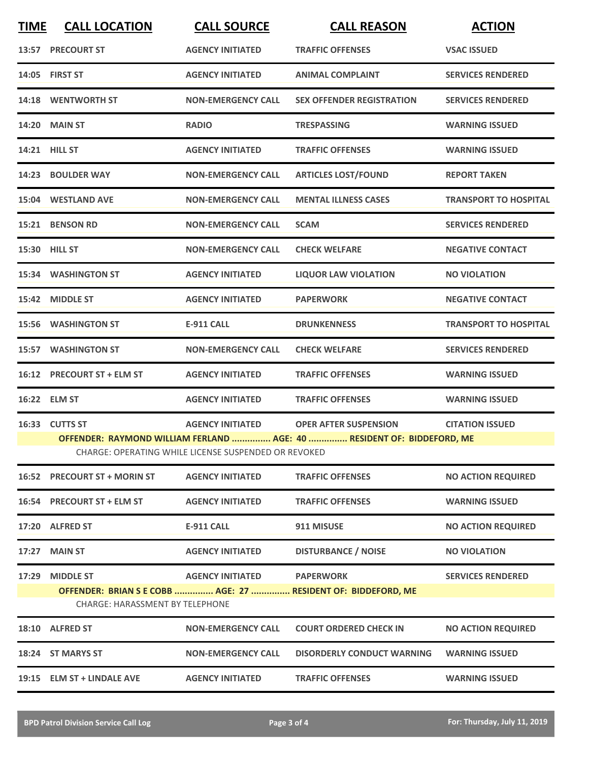| <b>TIME</b> | <b>CALL LOCATION</b>                                                                                                                                                                                                                  | <b>CALL SOURCE</b>        | <b>CALL REASON</b>                                                                | <b>ACTION</b>                |  |
|-------------|---------------------------------------------------------------------------------------------------------------------------------------------------------------------------------------------------------------------------------------|---------------------------|-----------------------------------------------------------------------------------|------------------------------|--|
| 13:57       | <b>PRECOURT ST</b>                                                                                                                                                                                                                    | <b>AGENCY INITIATED</b>   | <b>TRAFFIC OFFENSES</b>                                                           | <b>VSAC ISSUED</b>           |  |
|             | 14:05 FIRST ST                                                                                                                                                                                                                        | <b>AGENCY INITIATED</b>   | <b>ANIMAL COMPLAINT</b>                                                           | <b>SERVICES RENDERED</b>     |  |
|             | 14:18 WENTWORTH ST                                                                                                                                                                                                                    | <b>NON-EMERGENCY CALL</b> | <b>SEX OFFENDER REGISTRATION</b>                                                  | <b>SERVICES RENDERED</b>     |  |
|             | <b>14:20 MAIN ST</b>                                                                                                                                                                                                                  | <b>RADIO</b>              | <b>TRESPASSING</b>                                                                | <b>WARNING ISSUED</b>        |  |
|             | 14:21 HILL ST                                                                                                                                                                                                                         | <b>AGENCY INITIATED</b>   | <b>TRAFFIC OFFENSES</b>                                                           | <b>WARNING ISSUED</b>        |  |
|             | 14:23 BOULDER WAY                                                                                                                                                                                                                     | <b>NON-EMERGENCY CALL</b> | <b>ARTICLES LOST/FOUND</b>                                                        | <b>REPORT TAKEN</b>          |  |
|             | 15:04 WESTLAND AVE                                                                                                                                                                                                                    | <b>NON-EMERGENCY CALL</b> | <b>MENTAL ILLNESS CASES</b>                                                       | <b>TRANSPORT TO HOSPITAL</b> |  |
|             | 15:21 BENSON RD                                                                                                                                                                                                                       | <b>NON-EMERGENCY CALL</b> | <b>SCAM</b>                                                                       | <b>SERVICES RENDERED</b>     |  |
|             | 15:30 HILL ST                                                                                                                                                                                                                         | <b>NON-EMERGENCY CALL</b> | <b>CHECK WELFARE</b>                                                              | <b>NEGATIVE CONTACT</b>      |  |
|             | <b>15:34 WASHINGTON ST</b>                                                                                                                                                                                                            | <b>AGENCY INITIATED</b>   | <b>LIQUOR LAW VIOLATION</b>                                                       | <b>NO VIOLATION</b>          |  |
|             | 15:42 MIDDLE ST                                                                                                                                                                                                                       | <b>AGENCY INITIATED</b>   | <b>PAPERWORK</b>                                                                  | <b>NEGATIVE CONTACT</b>      |  |
|             | <b>15:56 WASHINGTON ST</b>                                                                                                                                                                                                            | <b>E-911 CALL</b>         | <b>DRUNKENNESS</b>                                                                | <b>TRANSPORT TO HOSPITAL</b> |  |
| 15:57       | <b>WASHINGTON ST</b>                                                                                                                                                                                                                  | <b>NON-EMERGENCY CALL</b> | <b>CHECK WELFARE</b>                                                              | <b>SERVICES RENDERED</b>     |  |
| 16:12       | <b>PRECOURT ST + ELM ST</b>                                                                                                                                                                                                           | <b>AGENCY INITIATED</b>   | <b>TRAFFIC OFFENSES</b>                                                           | <b>WARNING ISSUED</b>        |  |
|             | 16:22 ELM ST                                                                                                                                                                                                                          | <b>AGENCY INITIATED</b>   | <b>TRAFFIC OFFENSES</b>                                                           | <b>WARNING ISSUED</b>        |  |
|             | 16:33 CUTTS ST<br><b>AGENCY INITIATED</b><br><b>OPER AFTER SUSPENSION</b><br><b>CITATION ISSUED</b><br>OFFENDER: RAYMOND WILLIAM FERLAND  AGE: 40  RESIDENT OF: BIDDEFORD, ME<br>CHARGE: OPERATING WHILE LICENSE SUSPENDED OR REVOKED |                           |                                                                                   |                              |  |
|             | 16:52 PRECOURT ST + MORIN ST                                                                                                                                                                                                          | <b>AGENCY INITIATED</b>   | <b>TRAFFIC OFFENSES</b>                                                           | <b>NO ACTION REQUIRED</b>    |  |
|             | 16:54 PRECOURT ST + ELM ST                                                                                                                                                                                                            | <b>AGENCY INITIATED</b>   | <b>TRAFFIC OFFENSES</b>                                                           | <b>WARNING ISSUED</b>        |  |
|             | 17:20 ALFRED ST                                                                                                                                                                                                                       | <b>E-911 CALL</b>         | 911 MISUSE                                                                        | <b>NO ACTION REQUIRED</b>    |  |
| 17:27       | <b>MAIN ST</b>                                                                                                                                                                                                                        | <b>AGENCY INITIATED</b>   | <b>DISTURBANCE / NOISE</b>                                                        | <b>NO VIOLATION</b>          |  |
| 17:29       | <b>MIDDLE ST</b><br><b>CHARGE: HARASSMENT BY TELEPHONE</b>                                                                                                                                                                            | <b>AGENCY INITIATED</b>   | <b>PAPERWORK</b><br>OFFENDER: BRIAN S E COBB  AGE: 27  RESIDENT OF: BIDDEFORD, ME | <b>SERVICES RENDERED</b>     |  |
|             | 18:10 ALFRED ST                                                                                                                                                                                                                       | <b>NON-EMERGENCY CALL</b> | <b>COURT ORDERED CHECK IN</b>                                                     | <b>NO ACTION REQUIRED</b>    |  |
|             | 18:24 ST MARYS ST                                                                                                                                                                                                                     | <b>NON-EMERGENCY CALL</b> | <b>DISORDERLY CONDUCT WARNING</b>                                                 | <b>WARNING ISSUED</b>        |  |
|             | 19:15 ELM ST + LINDALE AVE                                                                                                                                                                                                            | <b>AGENCY INITIATED</b>   | <b>TRAFFIC OFFENSES</b>                                                           | <b>WARNING ISSUED</b>        |  |